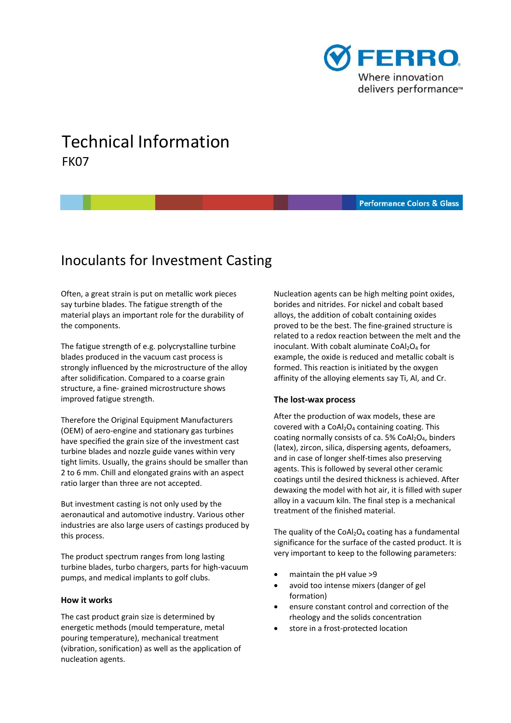

# Technical Information FK07

#### **Performance Colors & Glass Performance Colors and Glass**

# Inoculants for Investment Casting

 Often, a great strain is put on metallic work pieces say turbine blades. The fatigue strength of the material plays an important role for the durability of the components.

 The fatigue strength of e.g. polycrystalline turbine blades produced in the vacuum cast process is strongly influenced by the microstructure of the alloy after solidification. Compared to a coarse grain structure, a fine‐ grained microstructure shows improved fatigue strength.

 Therefore the Original Equipment Manufacturers (OEM) of aero‐engine and stationary gas turbines have specified the grain size of the investment cast turbine blades and nozzle guide vanes within very tight limits. Usually, the grains should be smaller than 2 to 6 mm. Chill and elongated grains with an aspect ratio larger than three are not accepted.

 But investment casting is not only used by the aeronautical and automotive industry. Various other industries are also large users of castings produced by this process.

 The product spectrum ranges from long lasting turbine blades, turbo chargers, parts for high‐vacuum pumps, and medical implants to golf clubs.

#### **How it works**

 The cast product grain size is determined by energetic methods (mould temperature, metal pouring temperature), mechanical treatment (vibration, sonification) as well as the application of nucleation agents.

 Nucleation agents can be high melting point oxides, borides and nitrides. For nickel and cobalt based alloys, the addition of cobalt containing oxides proved to be the best. The fine‐grained structure is related to a redox reaction between the melt and the inoculant. With cobalt aluminate  $CoAl<sub>2</sub>O<sub>4</sub>$  for example, the oxide is reduced and metallic cobalt is formed. This reaction is initiated by the oxygen affinity of the alloying elements say Ti, Al, and Cr.

## **The lost‐wax process**

 After the production of wax models, these are covered with a  $CoAl<sub>2</sub>O<sub>4</sub>$  containing coating. This coating normally consists of ca. 5%  $CoAl<sub>2</sub>O<sub>4</sub>$ , binders (latex), zircon, silica, dispersing agents, defoamers, and in case of longer shelf‐times also preserving agents. This is followed by several other ceramic coatings until the desired thickness is achieved. After dewaxing the model with hot air, it is filled with super alloy in a vacuum kiln. The final step is a mechanical treatment of the finished material.

The quality of the CoAl<sub>2</sub>O<sub>4</sub> coating has a fundamental significance for the surface of the casted product. It is very important to keep to the following parameters:

- maintain the pH value >9
- avoid too intense mixers (danger of gel formation)
- ensure constant control and correction of the rheology and the solids concentration
- store in a frost-protected location